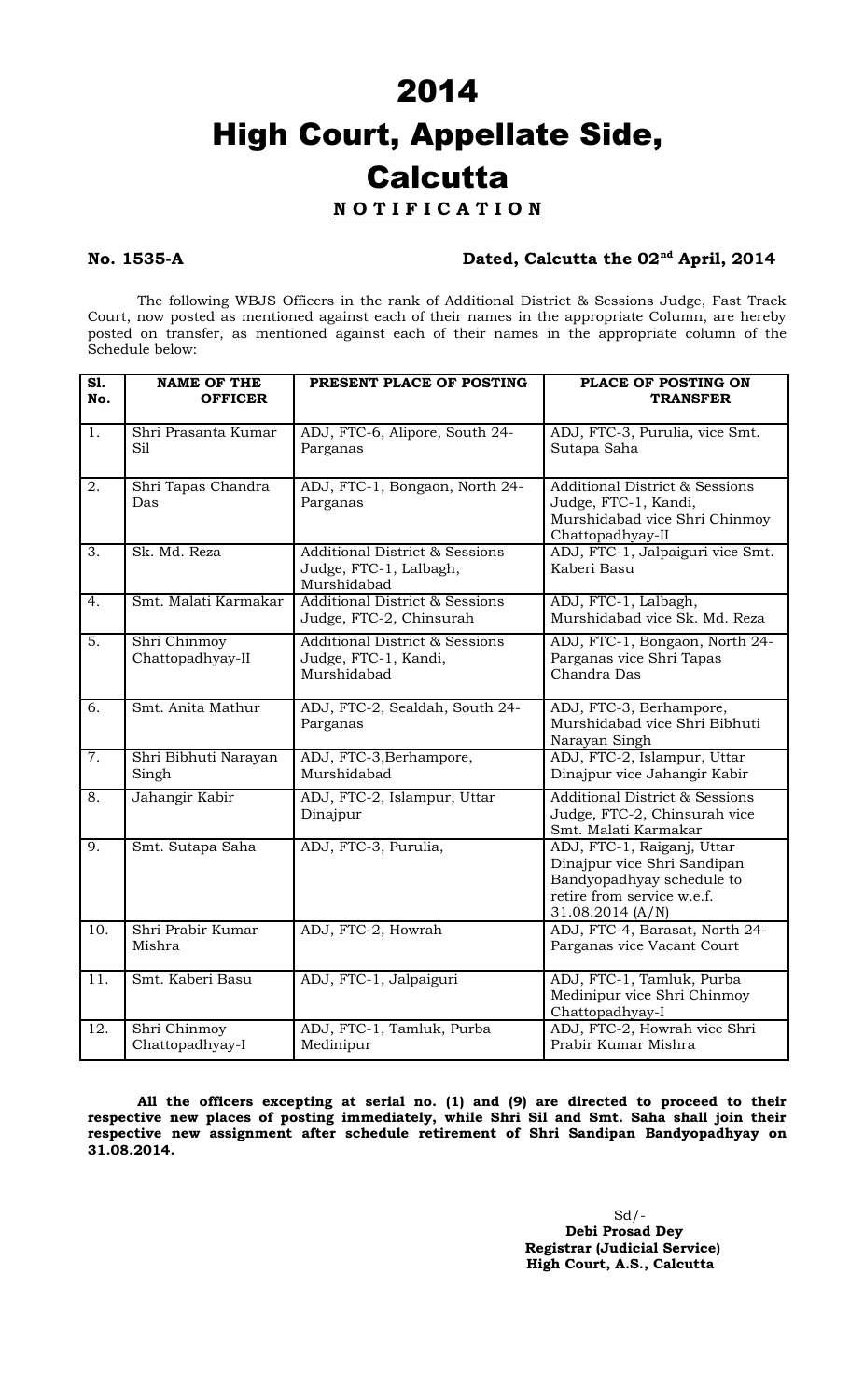# 2014 High Court, Appellate Side, **Calcutta**

# **N O T I F I C A T I O N**

## **No. 1535-A Dated, Calcutta the 02nd April, 2014**

The following WBJS Officers in the rank of Additional District & Sessions Judge, Fast Track Court, now posted as mentioned against each of their names in the appropriate Column, are hereby posted on transfer, as mentioned against each of their names in the appropriate column of the Schedule below:

| S1.<br>No.       | <b>NAME OF THE</b><br><b>OFFICER</b> | PRESENT PLACE OF POSTING                                                           | PLACE OF POSTING ON<br><b>TRANSFER</b>                                                                                                   |
|------------------|--------------------------------------|------------------------------------------------------------------------------------|------------------------------------------------------------------------------------------------------------------------------------------|
| 1.               | Shri Prasanta Kumar<br>Sil           | ADJ, FTC-6, Alipore, South 24-<br>Parganas                                         | ADJ, FTC-3, Purulia, vice Smt.<br>Sutapa Saha                                                                                            |
| 2.               | Shri Tapas Chandra<br>Das            | ADJ, FTC-1, Bongaon, North 24-<br>Parganas                                         | <b>Additional District &amp; Sessions</b><br>Judge, FTC-1, Kandi,<br>Murshidabad vice Shri Chinmoy<br>Chattopadhyay-II                   |
| 3.               | Sk. Md. Reza                         | <b>Additional District &amp; Sessions</b><br>Judge, FTC-1, Lalbagh,<br>Murshidabad | ADJ, FTC-1, Jalpaiguri vice Smt.<br>Kaberi Basu                                                                                          |
| 4.               | Smt. Malati Karmakar                 | <b>Additional District &amp; Sessions</b><br>Judge, FTC-2, Chinsurah               | ADJ, FTC-1, Lalbagh,<br>Murshidabad vice Sk. Md. Reza                                                                                    |
| 5.               | Shri Chinmoy<br>Chattopadhyay-II     | <b>Additional District &amp; Sessions</b><br>Judge, FTC-1, Kandi,<br>Murshidabad   | ADJ, FTC-1, Bongaon, North 24-<br>Parganas vice Shri Tapas<br>Chandra Das                                                                |
| 6.               | Smt. Anita Mathur                    | ADJ, FTC-2, Sealdah, South 24-<br>Parganas                                         | ADJ, FTC-3, Berhampore,<br>Murshidabad vice Shri Bibhuti<br>Narayan Singh                                                                |
| $\overline{7}$ . | Shri Bibhuti Narayan<br>Singh        | ADJ, FTC-3, Berhampore,<br>Murshidabad                                             | ADJ, FTC-2, Islampur, Uttar<br>Dinajpur vice Jahangir Kabir                                                                              |
| 8.               | Jahangir Kabir                       | ADJ, FTC-2, Islampur, Uttar<br>Dinajpur                                            | <b>Additional District &amp; Sessions</b><br>Judge, FTC-2, Chinsurah vice<br>Smt. Malati Karmakar                                        |
| 9.               | Smt. Sutapa Saha                     | ADJ, FTC-3, Purulia,                                                               | ADJ, FTC-1, Raiganj, Uttar<br>Dinajpur vice Shri Sandipan<br>Bandyopadhyay schedule to<br>retire from service w.e.f.<br>31.08.2014 (A/N) |
| 10.              | Shri Prabir Kumar<br>Mishra          | ADJ, FTC-2, Howrah                                                                 | ADJ, FTC-4, Barasat, North 24-<br>Parganas vice Vacant Court                                                                             |
| 11.              | Smt. Kaberi Basu                     | ADJ, FTC-1, Jalpaiguri                                                             | ADJ, FTC-1, Tamluk, Purba<br>Medinipur vice Shri Chinmoy<br>Chattopadhyay-I                                                              |
| 12.              | Shri Chinmoy<br>Chattopadhyay-I      | ADJ, FTC-1, Tamluk, Purba<br>Medinipur                                             | ADJ, FTC-2, Howrah vice Shri<br>Prabir Kumar Mishra                                                                                      |

**All the officers excepting at serial no. (1) and (9) are directed to proceed to their respective new places of posting immediately, while Shri Sil and Smt. Saha shall join their respective new assignment after schedule retirement of Shri Sandipan Bandyopadhyay on 31.08.2014.**

> **Debi Prosad Dey Registrar (Judicial Service) High Court, A.S., Calcutta**

 $Sd$  /-